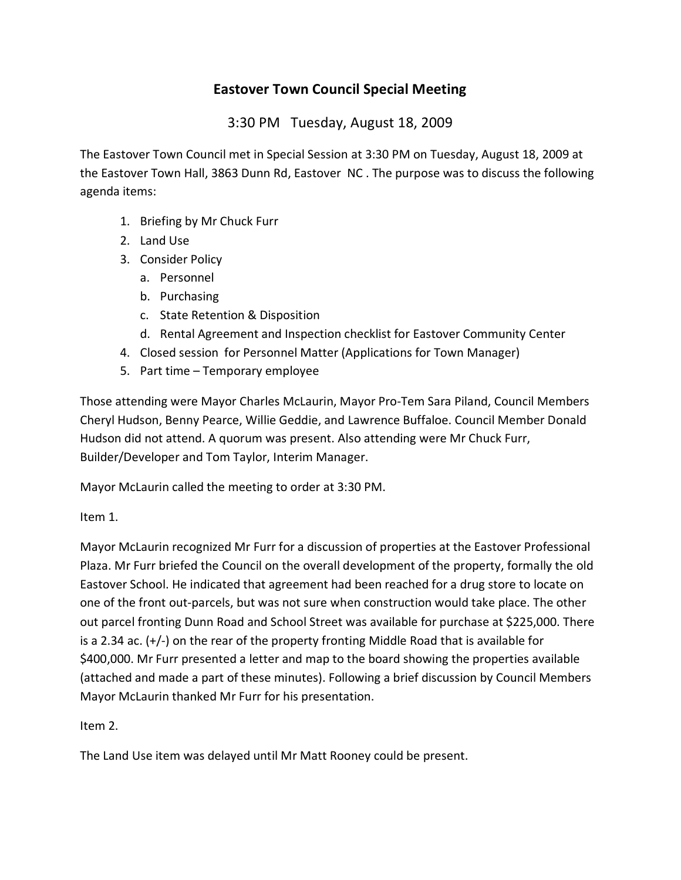## **Eastover Town Council Special Meeting**

3:30 PM Tuesday, August 18, 2009

The Eastover Town Council met in Special Session at 3:30 PM on Tuesday, August 18, 2009 at the Eastover Town Hall, 3863 Dunn Rd, Eastover NC . The purpose was to discuss the following agenda items:

- 1. Briefing by Mr Chuck Furr
- 2. Land Use
- 3. Consider Policy
	- a. Personnel
	- b. Purchasing
	- c. State Retention & Disposition
	- d. Rental Agreement and Inspection checklist for Eastover Community Center
- 4. Closed session for Personnel Matter (Applications for Town Manager)
- 5. Part time Temporary employee

Those attending were Mayor Charles McLaurin, Mayor Pro-Tem Sara Piland, Council Members Cheryl Hudson, Benny Pearce, Willie Geddie, and Lawrence Buffaloe. Council Member Donald Hudson did not attend. A quorum was present. Also attending were Mr Chuck Furr, Builder/Developer and Tom Taylor, Interim Manager.

Mayor McLaurin called the meeting to order at 3:30 PM.

Item 1.

Mayor McLaurin recognized Mr Furr for a discussion of properties at the Eastover Professional Plaza. Mr Furr briefed the Council on the overall development of the property, formally the old Eastover School. He indicated that agreement had been reached for a drug store to locate on one of the front out-parcels, but was not sure when construction would take place. The other out parcel fronting Dunn Road and School Street was available for purchase at \$225,000. There is a 2.34 ac.  $(+/-)$  on the rear of the property fronting Middle Road that is available for \$400,000. Mr Furr presented a letter and map to the board showing the properties available (attached and made a part of these minutes). Following a brief discussion by Council Members Mayor McLaurin thanked Mr Furr for his presentation.

Item 2.

The Land Use item was delayed until Mr Matt Rooney could be present.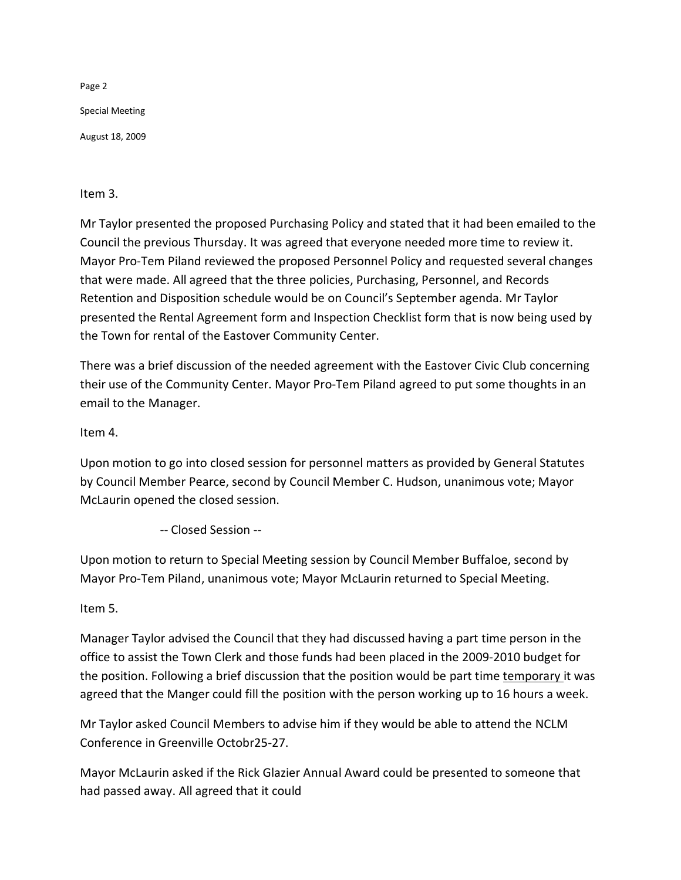Page 2 Special Meeting August 18, 2009

Item 3.

Mr Taylor presented the proposed Purchasing Policy and stated that it had been emailed to the Council the previous Thursday. It was agreed that everyone needed more time to review it. Mayor Pro-Tem Piland reviewed the proposed Personnel Policy and requested several changes that were made. All agreed that the three policies, Purchasing, Personnel, and Records Retention and Disposition schedule would be on Council's September agenda. Mr Taylor presented the Rental Agreement form and Inspection Checklist form that is now being used by the Town for rental of the Eastover Community Center.

There was a brief discussion of the needed agreement with the Eastover Civic Club concerning their use of the Community Center. Mayor Pro-Tem Piland agreed to put some thoughts in an email to the Manager.

Item 4.

Upon motion to go into closed session for personnel matters as provided by General Statutes by Council Member Pearce, second by Council Member C. Hudson, unanimous vote; Mayor McLaurin opened the closed session.

-- Closed Session --

Upon motion to return to Special Meeting session by Council Member Buffaloe, second by Mayor Pro-Tem Piland, unanimous vote; Mayor McLaurin returned to Special Meeting.

Item 5.

Manager Taylor advised the Council that they had discussed having a part time person in the office to assist the Town Clerk and those funds had been placed in the 2009-2010 budget for the position. Following a brief discussion that the position would be part time temporary it was agreed that the Manger could fill the position with the person working up to 16 hours a week.

Mr Taylor asked Council Members to advise him if they would be able to attend the NCLM Conference in Greenville Octobr25-27.

Mayor McLaurin asked if the Rick Glazier Annual Award could be presented to someone that had passed away. All agreed that it could